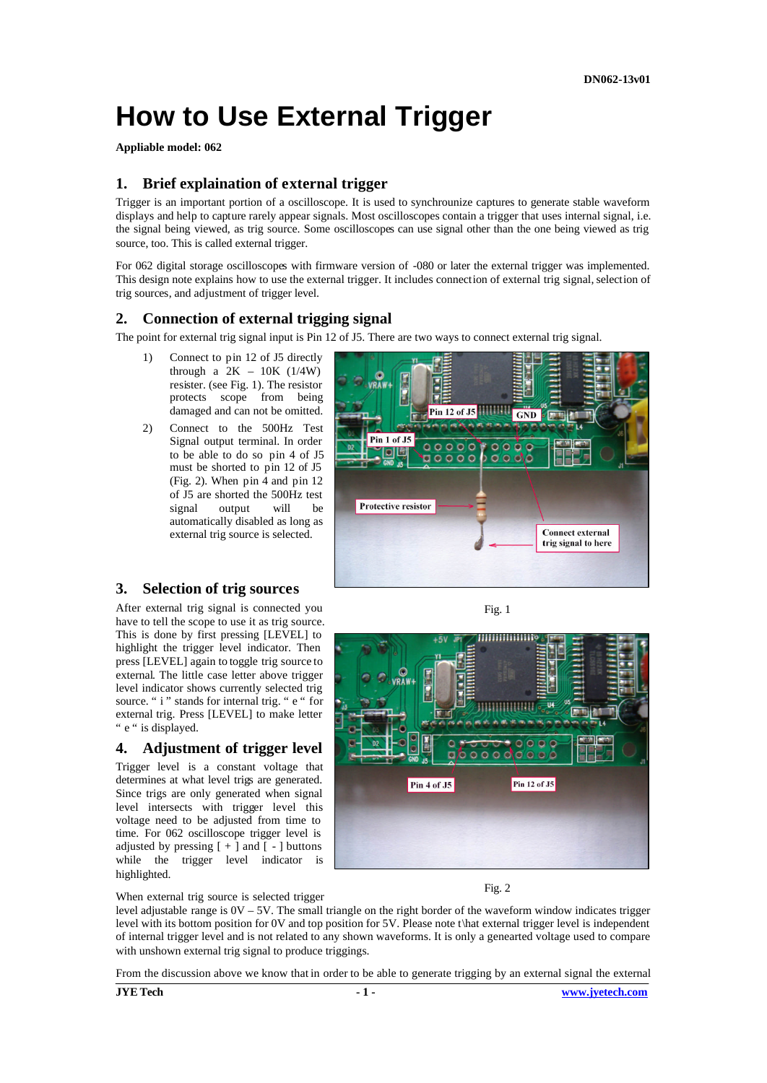# **How to Use External Trigger**

**Appliable model: 062**

## **1. Brief explaination of external trigger**

Trigger is an important portion of a oscilloscope. It is used to synchrounize captures to generate stable waveform displays and help to capture rarely appear signals. Most oscilloscopes contain a trigger that uses internal signal, i.e. the signal being viewed, as trig source. Some oscilloscopes can use signal other than the one being viewed as trig source, too. This is called external trigger.

For 062 digital storage oscilloscopes with firmware version of -080 or later the external trigger was implemented. This design note explains how to use the external trigger. It includes connection of external trig signal, selection of trig sources, and adjustment of trigger level.

### **2. Connection of external trigging signal**

The point for external trig signal input is Pin 12 of J5. There are two ways to connect external trig signal.

- 1) Connect to pin 12 of J5 directly through a  $2K - 10K$  (1/4W) resister. (see Fig. 1). The resistor protects scope from being damaged and can not be omitted.
- 2) Connect to the 500Hz Test Signal output terminal. In order to be able to do so pin 4 of J5 must be shorted to pin 12 of J5 (Fig. 2). When pin 4 and pin 12 of J5 are shorted the 500Hz test signal output will be automatically disabled as long as external trig source is selected.



#### **3. Selection of trig sources**

After external trig signal is connected you have to tell the scope to use it as trig source. This is done by first pressing [LEVEL] to highlight the trigger level indicator. Then press [LEVEL] again to toggle trig source to external. The little case letter above trigger level indicator shows currently selected trig source. "i" stands for internal trig. "e " for external trig. Press [LEVEL] to make letter " e " is displayed.

### **4. Adjustment of trigger level**

Trigger level is a constant voltage that determines at what level trigs are generated. Since trigs are only generated when signal level intersects with trigger level this voltage need to be adjusted from time to time. For 062 oscilloscope trigger level is adjusted by pressing  $[ + ]$  and  $[ - ]$  buttons while the trigger level indicator is highlighted.





Fig. 2

When external trig source is selected trigger level adjustable range is  $0V - 5V$ . The small triangle on the right border of the waveform window indicates trigger level with its bottom position for 0V and top position for 5V. Please note t\hat external trigger level is independent of internal trigger level and is not related to any shown waveforms. It is only a genearted voltage used to compare with unshown external trig signal to produce triggings.

From the discussion above we know that in order to be able to generate trigging by an external signal the external